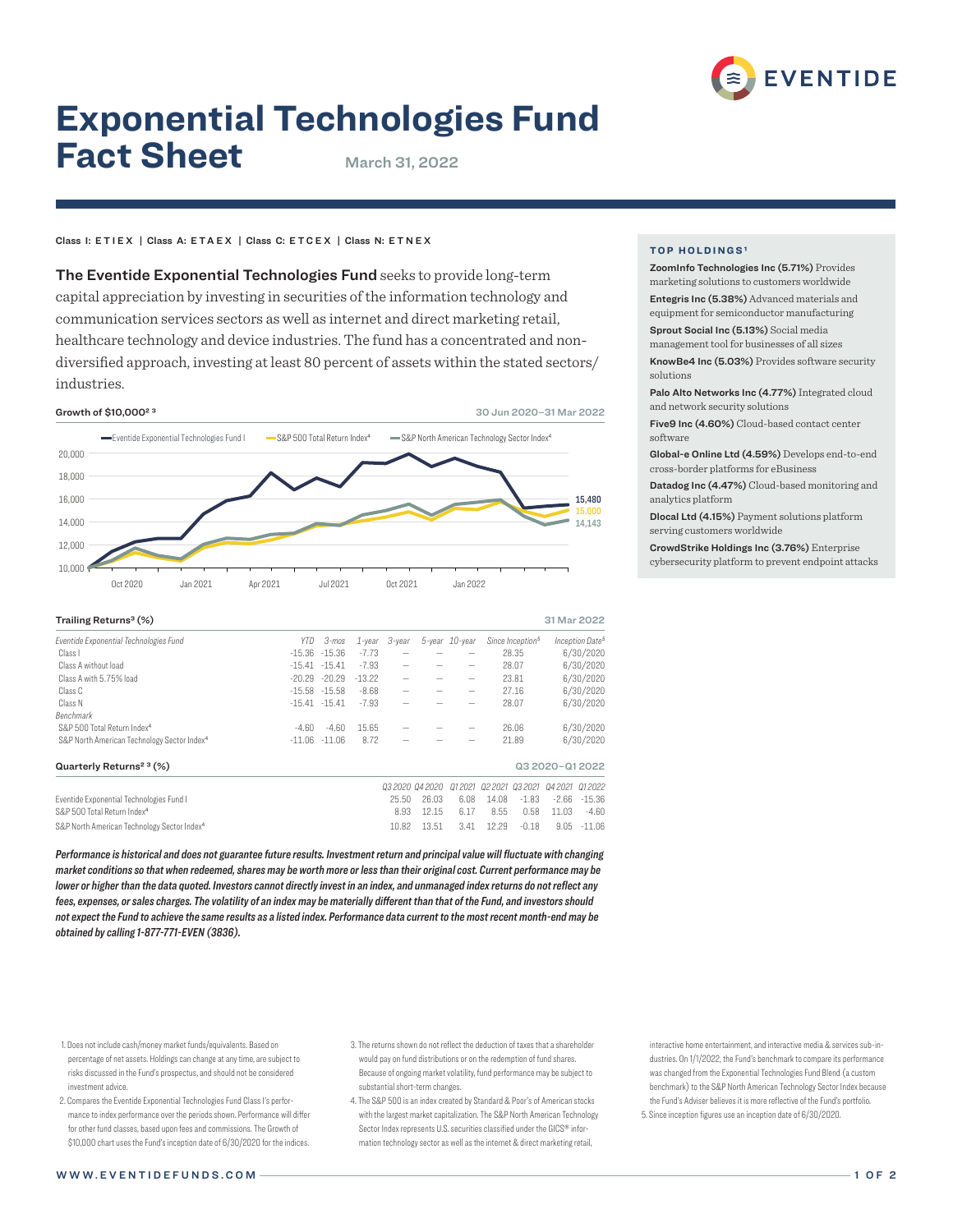

# **Exponential Technologies Fund Fact Sheet** March 31, 2022

## Class I: ETIEX | Class A: ETAEX | Class C: ETCEX | Class N: ETNEX

The Eventide Exponential Technologies Fund seeks to provide long-term capital appreciation by investing in securities of the information technology and communication services sectors as well as internet and direct marketing retail, healthcare technology and device industries. The fund has a concentrated and nondiversified approach, investing at least 80 percent of assets within the stated sectors/ industries.



| Trailing Returns <sup>3</sup> (%)<br>31 Mar 2022        |          |                  |           |           |                        |                |        |                              |                 |                             |
|---------------------------------------------------------|----------|------------------|-----------|-----------|------------------------|----------------|--------|------------------------------|-----------------|-----------------------------|
| Eventide Exponential Technologies Fund                  | YTD      | 3-mos            | $1$ -year | $3$ -year |                        | 5-year 10-year |        | Since Inception <sup>5</sup> |                 | Inception Date <sup>5</sup> |
| Class I                                                 |          | $-15.36 - 15.36$ | $-7.73$   |           |                        |                |        | 28.35                        |                 | 6/30/2020                   |
| Class A without load                                    |          | $-15.41 - 15.41$ | $-7.93$   |           |                        |                |        | 28.07                        |                 | 6/30/2020                   |
| Class A with 5.75% load                                 | $-20.29$ | $-20.29$         | $-13.22$  | -         |                        | -              | 23.81  |                              | 6/30/2020       |                             |
| Class C                                                 |          | $-15.58 - 15.58$ | $-8.68$   |           |                        | -              | 27.16  |                              | 6/30/2020       |                             |
| Class N                                                 |          | $-15.41 - 15.41$ | $-7.93$   |           |                        |                | 28.07  |                              | 6/30/2020       |                             |
| Benchmark                                               |          |                  |           |           |                        |                |        |                              |                 |                             |
| S&P 500 Total Return Index <sup>4</sup>                 | $-4.60$  | $-4.60$          | 15.65     |           |                        |                |        | 26.06                        | 6/30/2020       |                             |
| S&P North American Technology Sector Index <sup>4</sup> |          | $-11.06 - 11.06$ | 8.72      |           |                        |                | 21.89  |                              | 6/30/2020       |                             |
| Quarterly Returns <sup>23</sup> (%)                     |          |                  |           |           |                        |                |        |                              | Q3 2020-Q1 2022 |                             |
|                                                         |          |                  |           |           | <i>Q3 2020 Q4 2020</i> | 012021         | 022021 | 03 2021                      | 04 20 21        | 012022                      |
| Eventide Exponential Technologies Fund I                |          |                  |           | 25.50     | 26.03                  | 6.08           | 14.08  | $-1.83$                      | $-2.66$         | $-15.36$                    |
| S&P 500 Total Return Index <sup>4</sup>                 |          |                  |           | 8.93      | 12.15                  | 6.17           | 8.55   | 0.58                         | 11.03           | $-4.60$                     |
| S&P North American Technology Sector Index <sup>4</sup> |          |                  |           | 10.82     | 13.51                  | 3.41           | 12.29  | $-0.18$                      | 9.05            | $-11.06$                    |

*Performance is historical and does not guarantee future results. Investment return and principal value will fluctuate with changing market conditions so that when redeemed, shares may be worth more or less than their original cost. Current performance may be lower or higher than the data quoted. Investors cannot directly invest in an index, and unmanaged index returns do not reflect any fees, expenses, or sales charges. The volatility of an index may be materially different than that of the Fund, and investors should not expect the Fund to achieve the same results as a listed index. Performance data current to the most recent month-end may be obtained by calling 1-877-771-EVEN (3836).*

- 1. Does not include cash/money market funds/equivalents. Based on percentage of net assets. Holdings can change at any time, are subject to risks discussed in the Fund's prospectus, and should not be considered investment advice.
- 2. Compares the Eventide Exponential Technologies Fund Class I's performance to index performance over the periods shown. Performance will differ for other fund classes, based upon fees and commissions. The Growth of \$10,000 chart uses the Fund's inception date of 6/30/2020 for the indices.

4. The S&P 500 is an index created by Standard & Poor's of American stocks with the largest market capitalization. The S&P North American Technology Sector Index represents U.S. securities classified under the GICS® information technology sector as well as the internet & direct marketing retail,

interactive home entertainment, and interactive media & services sub-industries. On 1/1/2022, the Fund's benchmark to compare its performance was changed from the Exponential Technologies Fund Blend (a custom benchmark) to the S&P North American Technology Sector Index because the Fund's Adviser believes it is more reflective of the Fund's portfolio. 5. Since inception figures use an inception date of 6/30/2020.

### **TOP HOLDINGS<sup>1</sup>**

ZoomInfo Technologies Inc (5.71%) Provides marketing solutions to customers worldwide Entegris Inc (5.38%) Advanced materials and equipment for semiconductor manufacturing

Sprout Social Inc (5.13%) Social media

management tool for businesses of all sizes

KnowBe4 Inc (5.03%) Provides software security solutions

Palo Alto Networks Inc (4.77%) Integrated cloud and network security solutions

Five9 Inc (4.60%) Cloud-based contact center software

Global-e Online Ltd (4.59%) Develops end-to-end cross-border platforms for eBusiness

Datadog Inc (4.47%) Cloud-based monitoring and analytics platform

Dlocal Ltd (4.15%) Payment solutions platform serving customers worldwide

CrowdStrike Holdings Inc (3.76%) Enterprise cybersecurity platform to prevent endpoint attacks